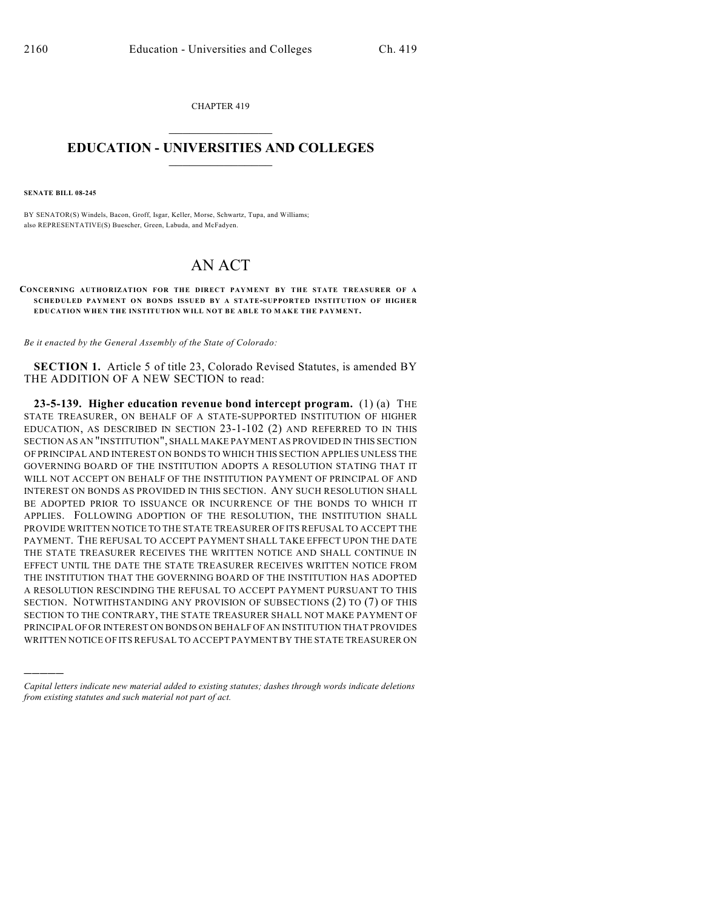CHAPTER 419  $\overline{\phantom{a}}$  . The set of the set of the set of the set of the set of the set of the set of the set of the set of the set of the set of the set of the set of the set of the set of the set of the set of the set of the set o

## **EDUCATION - UNIVERSITIES AND COLLEGES**  $\_$

**SENATE BILL 08-245**

)))))

BY SENATOR(S) Windels, Bacon, Groff, Isgar, Keller, Morse, Schwartz, Tupa, and Williams; also REPRESENTATIVE(S) Buescher, Green, Labuda, and McFadyen.

## AN ACT

## **CONCERNING AUTHORIZATION FOR THE DIRECT PAYMENT BY THE STATE TREASURER OF A SCHEDULED PAYMENT ON BONDS ISSUED BY A STATE-SUPPORTED INSTITUTION OF HIGHER EDUCATION WHEN THE INSTITUTION WILL NOT BE ABLE TO M AKE THE PAYMENT.**

*Be it enacted by the General Assembly of the State of Colorado:*

**SECTION 1.** Article 5 of title 23, Colorado Revised Statutes, is amended BY THE ADDITION OF A NEW SECTION to read:

**23-5-139. Higher education revenue bond intercept program.** (1) (a) THE STATE TREASURER, ON BEHALF OF A STATE-SUPPORTED INSTITUTION OF HIGHER EDUCATION, AS DESCRIBED IN SECTION 23-1-102 (2) AND REFERRED TO IN THIS SECTION AS AN "INSTITUTION", SHALL MAKE PAYMENT AS PROVIDED IN THIS SECTION OF PRINCIPAL AND INTEREST ON BONDS TO WHICH THIS SECTION APPLIES UNLESS THE GOVERNING BOARD OF THE INSTITUTION ADOPTS A RESOLUTION STATING THAT IT WILL NOT ACCEPT ON BEHALF OF THE INSTITUTION PAYMENT OF PRINCIPAL OF AND INTEREST ON BONDS AS PROVIDED IN THIS SECTION. ANY SUCH RESOLUTION SHALL BE ADOPTED PRIOR TO ISSUANCE OR INCURRENCE OF THE BONDS TO WHICH IT APPLIES. FOLLOWING ADOPTION OF THE RESOLUTION, THE INSTITUTION SHALL PROVIDE WRITTEN NOTICE TO THE STATE TREASURER OF ITS REFUSAL TO ACCEPT THE PAYMENT. THE REFUSAL TO ACCEPT PAYMENT SHALL TAKE EFFECT UPON THE DATE THE STATE TREASURER RECEIVES THE WRITTEN NOTICE AND SHALL CONTINUE IN EFFECT UNTIL THE DATE THE STATE TREASURER RECEIVES WRITTEN NOTICE FROM THE INSTITUTION THAT THE GOVERNING BOARD OF THE INSTITUTION HAS ADOPTED A RESOLUTION RESCINDING THE REFUSAL TO ACCEPT PAYMENT PURSUANT TO THIS SECTION. NOTWITHSTANDING ANY PROVISION OF SUBSECTIONS (2) TO (7) OF THIS SECTION TO THE CONTRARY, THE STATE TREASURER SHALL NOT MAKE PAYMENT OF PRINCIPAL OF OR INTEREST ON BONDS ON BEHALF OF AN INSTITUTION THAT PROVIDES WRITTEN NOTICE OF ITS REFUSAL TO ACCEPT PAYMENT BY THE STATE TREASURER ON

*Capital letters indicate new material added to existing statutes; dashes through words indicate deletions from existing statutes and such material not part of act.*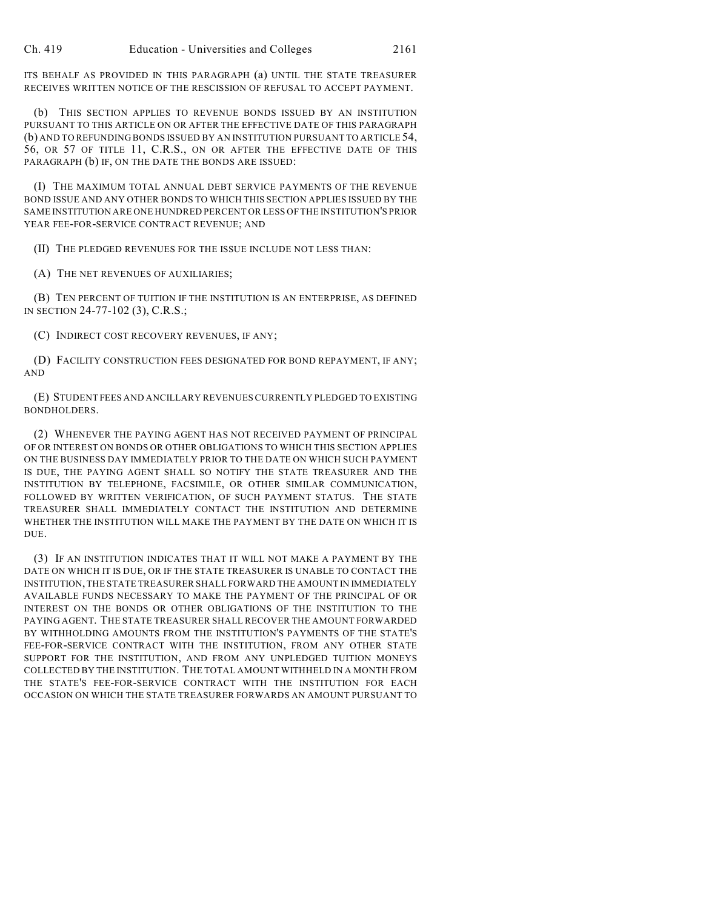ITS BEHALF AS PROVIDED IN THIS PARAGRAPH (a) UNTIL THE STATE TREASURER RECEIVES WRITTEN NOTICE OF THE RESCISSION OF REFUSAL TO ACCEPT PAYMENT.

(b) THIS SECTION APPLIES TO REVENUE BONDS ISSUED BY AN INSTITUTION PURSUANT TO THIS ARTICLE ON OR AFTER THE EFFECTIVE DATE OF THIS PARAGRAPH (b) AND TO REFUNDING BONDS ISSUED BY AN INSTITUTION PURSUANT TO ARTICLE 54, 56, OR 57 OF TITLE 11, C.R.S., ON OR AFTER THE EFFECTIVE DATE OF THIS PARAGRAPH (b) IF, ON THE DATE THE BONDS ARE ISSUED:

(I) THE MAXIMUM TOTAL ANNUAL DEBT SERVICE PAYMENTS OF THE REVENUE BOND ISSUE AND ANY OTHER BONDS TO WHICH THIS SECTION APPLIES ISSUED BY THE SAME INSTITUTION ARE ONE HUNDRED PERCENT OR LESS OF THE INSTITUTION'S PRIOR YEAR FEE-FOR-SERVICE CONTRACT REVENUE; AND

(II) THE PLEDGED REVENUES FOR THE ISSUE INCLUDE NOT LESS THAN:

(A) THE NET REVENUES OF AUXILIARIES;

(B) TEN PERCENT OF TUITION IF THE INSTITUTION IS AN ENTERPRISE, AS DEFINED IN SECTION 24-77-102 (3), C.R.S.;

(C) INDIRECT COST RECOVERY REVENUES, IF ANY;

(D) FACILITY CONSTRUCTION FEES DESIGNATED FOR BOND REPAYMENT, IF ANY; AND

(E) STUDENT FEES AND ANCILLARY REVENUES CURRENTLY PLEDGED TO EXISTING BONDHOLDERS.

(2) WHENEVER THE PAYING AGENT HAS NOT RECEIVED PAYMENT OF PRINCIPAL OF OR INTEREST ON BONDS OR OTHER OBLIGATIONS TO WHICH THIS SECTION APPLIES ON THE BUSINESS DAY IMMEDIATELY PRIOR TO THE DATE ON WHICH SUCH PAYMENT IS DUE, THE PAYING AGENT SHALL SO NOTIFY THE STATE TREASURER AND THE INSTITUTION BY TELEPHONE, FACSIMILE, OR OTHER SIMILAR COMMUNICATION, FOLLOWED BY WRITTEN VERIFICATION, OF SUCH PAYMENT STATUS. THE STATE TREASURER SHALL IMMEDIATELY CONTACT THE INSTITUTION AND DETERMINE WHETHER THE INSTITUTION WILL MAKE THE PAYMENT BY THE DATE ON WHICH IT IS DUE.

(3) IF AN INSTITUTION INDICATES THAT IT WILL NOT MAKE A PAYMENT BY THE DATE ON WHICH IT IS DUE, OR IF THE STATE TREASURER IS UNABLE TO CONTACT THE INSTITUTION, THE STATE TREASURER SHALL FORWARD THE AMOUNT IN IMMEDIATELY AVAILABLE FUNDS NECESSARY TO MAKE THE PAYMENT OF THE PRINCIPAL OF OR INTEREST ON THE BONDS OR OTHER OBLIGATIONS OF THE INSTITUTION TO THE PAYING AGENT. THE STATE TREASURER SHALL RECOVER THE AMOUNT FORWARDED BY WITHHOLDING AMOUNTS FROM THE INSTITUTION'S PAYMENTS OF THE STATE'S FEE-FOR-SERVICE CONTRACT WITH THE INSTITUTION, FROM ANY OTHER STATE SUPPORT FOR THE INSTITUTION, AND FROM ANY UNPLEDGED TUITION MONEYS COLLECTED BY THE INSTITUTION. THE TOTAL AMOUNT WITHHELD IN A MONTH FROM THE STATE'S FEE-FOR-SERVICE CONTRACT WITH THE INSTITUTION FOR EACH OCCASION ON WHICH THE STATE TREASURER FORWARDS AN AMOUNT PURSUANT TO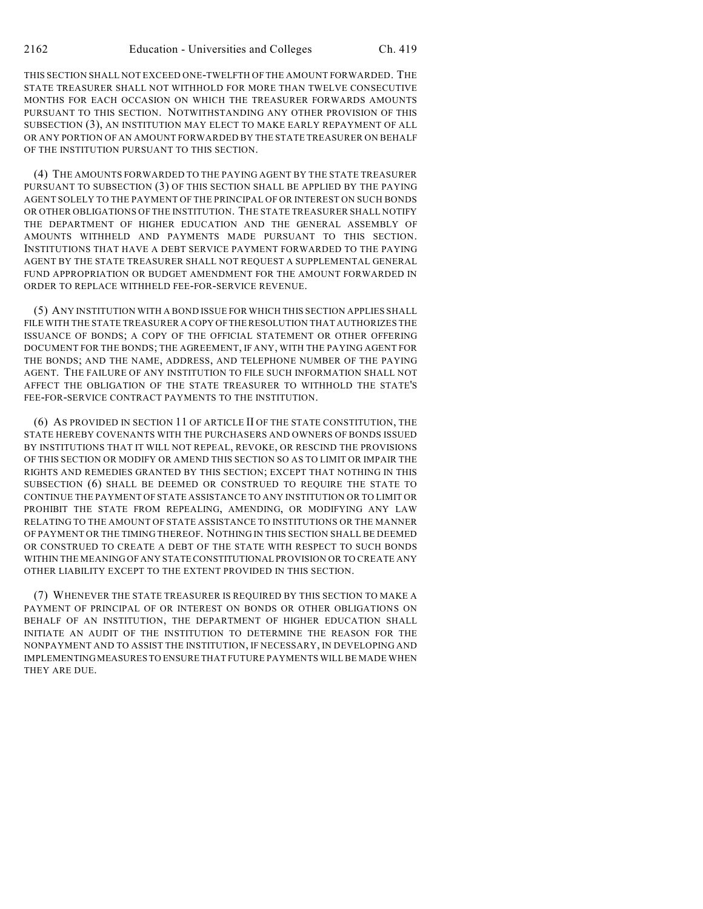THIS SECTION SHALL NOT EXCEED ONE-TWELFTH OF THE AMOUNT FORWARDED. THE STATE TREASURER SHALL NOT WITHHOLD FOR MORE THAN TWELVE CONSECUTIVE MONTHS FOR EACH OCCASION ON WHICH THE TREASURER FORWARDS AMOUNTS PURSUANT TO THIS SECTION. NOTWITHSTANDING ANY OTHER PROVISION OF THIS SUBSECTION (3), AN INSTITUTION MAY ELECT TO MAKE EARLY REPAYMENT OF ALL OR ANY PORTION OF AN AMOUNT FORWARDED BY THE STATE TREASURER ON BEHALF OF THE INSTITUTION PURSUANT TO THIS SECTION.

(4) THE AMOUNTS FORWARDED TO THE PAYING AGENT BY THE STATE TREASURER PURSUANT TO SUBSECTION (3) OF THIS SECTION SHALL BE APPLIED BY THE PAYING AGENT SOLELY TO THE PAYMENT OF THE PRINCIPAL OF OR INTEREST ON SUCH BONDS OR OTHER OBLIGATIONS OF THE INSTITUTION. THE STATE TREASURER SHALL NOTIFY THE DEPARTMENT OF HIGHER EDUCATION AND THE GENERAL ASSEMBLY OF AMOUNTS WITHHELD AND PAYMENTS MADE PURSUANT TO THIS SECTION. INSTITUTIONS THAT HAVE A DEBT SERVICE PAYMENT FORWARDED TO THE PAYING AGENT BY THE STATE TREASURER SHALL NOT REQUEST A SUPPLEMENTAL GENERAL FUND APPROPRIATION OR BUDGET AMENDMENT FOR THE AMOUNT FORWARDED IN ORDER TO REPLACE WITHHELD FEE-FOR-SERVICE REVENUE.

(5) ANY INSTITUTION WITH A BOND ISSUE FOR WHICH THIS SECTION APPLIES SHALL FILE WITH THE STATE TREASURER A COPY OF THE RESOLUTION THAT AUTHORIZES THE ISSUANCE OF BONDS; A COPY OF THE OFFICIAL STATEMENT OR OTHER OFFERING DOCUMENT FOR THE BONDS; THE AGREEMENT, IF ANY, WITH THE PAYING AGENT FOR THE BONDS; AND THE NAME, ADDRESS, AND TELEPHONE NUMBER OF THE PAYING AGENT. THE FAILURE OF ANY INSTITUTION TO FILE SUCH INFORMATION SHALL NOT AFFECT THE OBLIGATION OF THE STATE TREASURER TO WITHHOLD THE STATE'S FEE-FOR-SERVICE CONTRACT PAYMENTS TO THE INSTITUTION.

(6) AS PROVIDED IN SECTION 11 OF ARTICLE II OF THE STATE CONSTITUTION, THE STATE HEREBY COVENANTS WITH THE PURCHASERS AND OWNERS OF BONDS ISSUED BY INSTITUTIONS THAT IT WILL NOT REPEAL, REVOKE, OR RESCIND THE PROVISIONS OF THIS SECTION OR MODIFY OR AMEND THIS SECTION SO AS TO LIMIT OR IMPAIR THE RIGHTS AND REMEDIES GRANTED BY THIS SECTION; EXCEPT THAT NOTHING IN THIS SUBSECTION (6) SHALL BE DEEMED OR CONSTRUED TO REQUIRE THE STATE TO CONTINUE THE PAYMENT OF STATE ASSISTANCE TO ANY INSTITUTION OR TO LIMIT OR PROHIBIT THE STATE FROM REPEALING, AMENDING, OR MODIFYING ANY LAW RELATING TO THE AMOUNT OF STATE ASSISTANCE TO INSTITUTIONS OR THE MANNER OF PAYMENT OR THE TIMING THEREOF. NOTHING IN THIS SECTION SHALL BE DEEMED OR CONSTRUED TO CREATE A DEBT OF THE STATE WITH RESPECT TO SUCH BONDS WITHIN THE MEANING OF ANY STATE CONSTITUTIONAL PROVISION OR TO CREATE ANY OTHER LIABILITY EXCEPT TO THE EXTENT PROVIDED IN THIS SECTION.

(7) WHENEVER THE STATE TREASURER IS REQUIRED BY THIS SECTION TO MAKE A PAYMENT OF PRINCIPAL OF OR INTEREST ON BONDS OR OTHER OBLIGATIONS ON BEHALF OF AN INSTITUTION, THE DEPARTMENT OF HIGHER EDUCATION SHALL INITIATE AN AUDIT OF THE INSTITUTION TO DETERMINE THE REASON FOR THE NONPAYMENT AND TO ASSIST THE INSTITUTION, IF NECESSARY, IN DEVELOPING AND IMPLEMENTING MEASURES TO ENSURE THAT FUTURE PAYMENTS WILL BE MADE WHEN THEY ARE DUE.